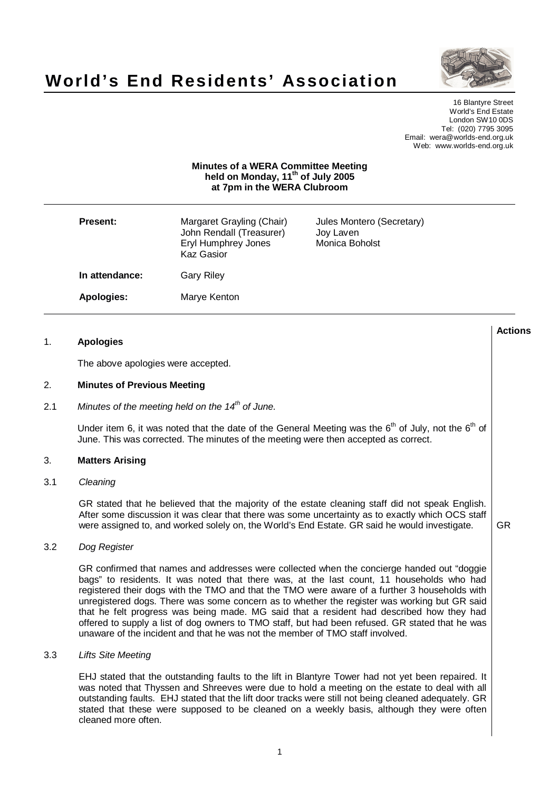



**Actions**

16 Blantyre Street World's End Estate London SW10 0DS Tel: (020) 7795 3095 Email: wera@worlds-end.org.uk Web: www.worlds-end.org.uk

#### **Minutes of a WERA Committee Meeting held on Monday, 11 th of July 2005 at 7pm in the WERA Clubroom**

| <b>Present:</b>   | Margaret Grayling (Chair)<br>John Rendall (Treasurer)<br>Eryl Humphrey Jones<br>Kaz Gasior | Jules Montero (Secretary)<br>Joy Laven<br>Monica Boholst |
|-------------------|--------------------------------------------------------------------------------------------|----------------------------------------------------------|
| In attendance:    | <b>Gary Riley</b>                                                                          |                                                          |
| <b>Apologies:</b> | Marye Kenton                                                                               |                                                          |

### 1. **Apologies**

The above apologies were accepted.

### 2. **Minutes of Previous Meeting**

2.1 Minutes of the meeting held on the 14 $^{\text{th}}$  of June.

Under item 6, it was noted that the date of the General Meeting was the 6<sup>th</sup> of July, not the 6<sup>th</sup> of June. This was corrected. The minutes of the meeting were then accepted as correct.

#### 3. **Matters Arising**

### 3.1 Cleaning

GR stated that he believed that the majority of the estate cleaning staff did not speak English. After some discussion it was clear that there was some uncertainty as to exactly which OCS staff were assigned to, and worked solely on, the World's End Estate. GR said he would investigate. GR

#### 3.2 Dog Register

GR confirmed that names and addresses were collected when the concierge handed out "doggie bags" to residents. It was noted that there was, at the last count, 11 households who had registered their dogs with the TMO and that the TMO were aware of a further 3 households with unregistered dogs. There was some concern as to whether the register was working but GR said that he felt progress was being made. MG said that a resident had described how they had offered to supply a list of dog owners to TMO staff, but had been refused. GR stated that he was unaware of the incident and that he was not the member of TMO staff involved.

#### 3.3 Lifts Site Meeting

EHJ stated that the outstanding faults to the lift in Blantyre Tower had not yet been repaired. It was noted that Thyssen and Shreeves were due to hold a meeting on the estate to deal with all outstanding faults. EHJ stated that the lift door tracks were still not being cleaned adequately. GR stated that these were supposed to be cleaned on a weekly basis, although they were often cleaned more often.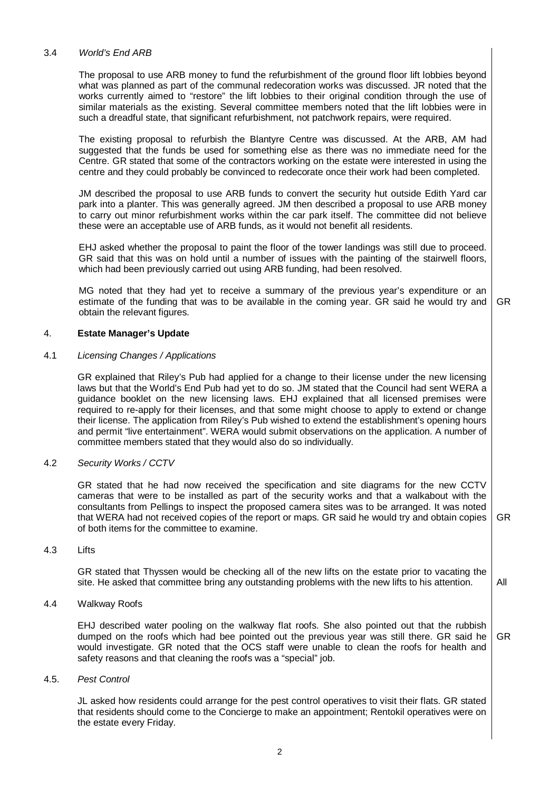### 3.4 World's End ARB

The proposal to use ARB money to fund the refurbishment of the ground floor lift lobbies beyond what was planned as part of the communal redecoration works was discussed. JR noted that the works currently aimed to "restore" the lift lobbies to their original condition through the use of similar materials as the existing. Several committee members noted that the lift lobbies were in such a dreadful state, that significant refurbishment, not patchwork repairs, were required.

The existing proposal to refurbish the Blantyre Centre was discussed. At the ARB, AM had suggested that the funds be used for something else as there was no immediate need for the Centre. GR stated that some of the contractors working on the estate were interested in using the centre and they could probably be convinced to redecorate once their work had been completed.

JM described the proposal to use ARB funds to convert the security hut outside Edith Yard car park into a planter. This was generally agreed. JM then described a proposal to use ARB money to carry out minor refurbishment works within the car park itself. The committee did not believe these were an acceptable use of ARB funds, as it would not benefit all residents.

EHJ asked whether the proposal to paint the floor of the tower landings was still due to proceed. GR said that this was on hold until a number of issues with the painting of the stairwell floors, which had been previously carried out using ARB funding, had been resolved.

MG noted that they had yet to receive a summary of the previous year's expenditure or an estimate of the funding that was to be available in the coming year. GR said he would try and obtain the relevant figures. GR

## 4. **Estate Manager's Update**

#### 4.1 Licensing Changes / Applications

GR explained that Riley's Pub had applied for a change to their license under the new licensing laws but that the World's End Pub had yet to do so. JM stated that the Council had sent WERA a guidance booklet on the new licensing laws. EHJ explained that all licensed premises were required to re-apply for their licenses, and that some might choose to apply to extend or change their license. The application from Riley's Pub wished to extend the establishment's opening hours and permit "live entertainment". WERA would submit observations on the application. A number of committee members stated that they would also do so individually.

#### 4.2 Security Works / CCTV

GR stated that he had now received the specification and site diagrams for the new CCTV cameras that were to be installed as part of the security works and that a walkabout with the consultants from Pellings to inspect the proposed camera sites was to be arranged. It was noted that WERA had not received copies of the report or maps. GR said he would try and obtain copies of both items for the committee to examine. GR

4.3 Lifts

GR stated that Thyssen would be checking all of the new lifts on the estate prior to vacating the site. He asked that committee bring any outstanding problems with the new lifts to his attention. All

#### 4.4 Walkway Roofs

EHJ described water pooling on the walkway flat roofs. She also pointed out that the rubbish dumped on the roofs which had bee pointed out the previous year was still there. GR said he would investigate. GR noted that the OCS staff were unable to clean the roofs for health and safety reasons and that cleaning the roofs was a "special" job. GR

# 4.5. Pest Control

JL asked how residents could arrange for the pest control operatives to visit their flats. GR stated that residents should come to the Concierge to make an appointment; Rentokil operatives were on the estate every Friday.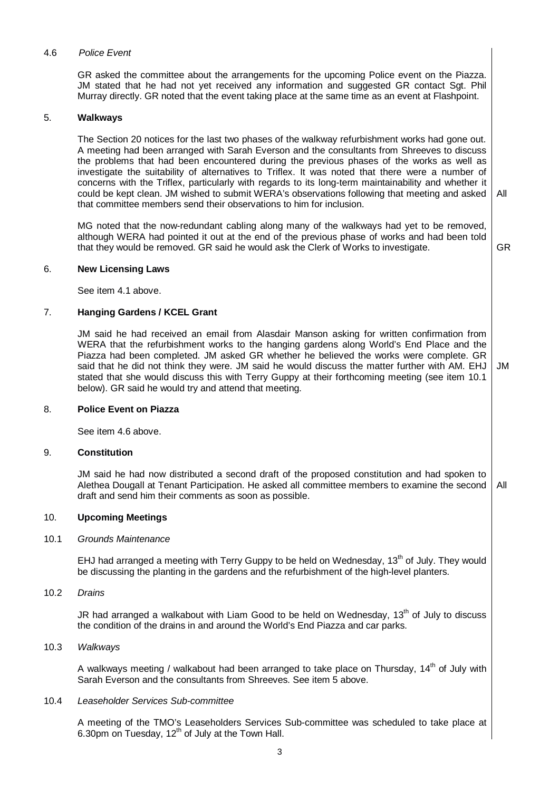### 4.6 Police Event

GR asked the committee about the arrangements for the upcoming Police event on the Piazza. JM stated that he had not yet received any information and suggested GR contact Sgt. Phil Murray directly. GR noted that the event taking place at the same time as an event at Flashpoint.

### 5. **Walkways**

The Section 20 notices for the last two phases of the walkway refurbishment works had gone out. A meeting had been arranged with Sarah Everson and the consultants from Shreeves to discuss the problems that had been encountered during the previous phases of the works as well as investigate the suitability of alternatives to Triflex. It was noted that there were a number of concerns with the Triflex, particularly with regards to its long-term maintainability and whether it could be kept clean. JM wished to submit WERA's observations following that meeting and asked that committee members send their observations to him for inclusion. All

MG noted that the now-redundant cabling along many of the walkways had yet to be removed, although WERA had pointed it out at the end of the previous phase of works and had been told that they would be removed. GR said he would ask the Clerk of Works to investigate.

GR

#### 6. **New Licensing Laws**

See item 4.1 above.

### 7. **Hanging Gardens / KCEL Grant**

JM said he had received an email from Alasdair Manson asking for written confirmation from WERA that the refurbishment works to the hanging gardens along World's End Place and the Piazza had been completed. JM asked GR whether he believed the works were complete. GR said that he did not think they were. JM said he would discuss the matter further with AM. EHJ stated that she would discuss this with Terry Guppy at their forthcoming meeting (see item 10.1 below). GR said he would try and attend that meeting. JM

#### 8. **Police Event on Piazza**

See item 4.6 above.

#### 9. **Constitution**

JM said he had now distributed a second draft of the proposed constitution and had spoken to Alethea Dougall at Tenant Participation. He asked all committee members to examine the second draft and send him their comments as soon as possible. All

## 10. **Upcoming Meetings**

### 10.1 Grounds Maintenance

EHJ had arranged a meeting with Terry Guppy to be held on Wednesday, 13<sup>th</sup> of July. They would be discussing the planting in the gardens and the refurbishment of the high-level planters.

10.2 Drains

JR had arranged a walkabout with Liam Good to be held on Wednesday, 13<sup>th</sup> of July to discuss the condition of the drains in and around the World's End Piazza and car parks.

### 10.3 Walkways

A walkways meeting / walkabout had been arranged to take place on Thursday, 14<sup>th</sup> of July with Sarah Everson and the consultants from Shreeves. See item 5 above.

#### 10.4 Leaseholder Services Sub-committee

A meeting of the TMO's Leaseholders Services Sub-committee was scheduled to take place at 6.30pm on Tuesday,  $12^{th}$  of July at the Town Hall.